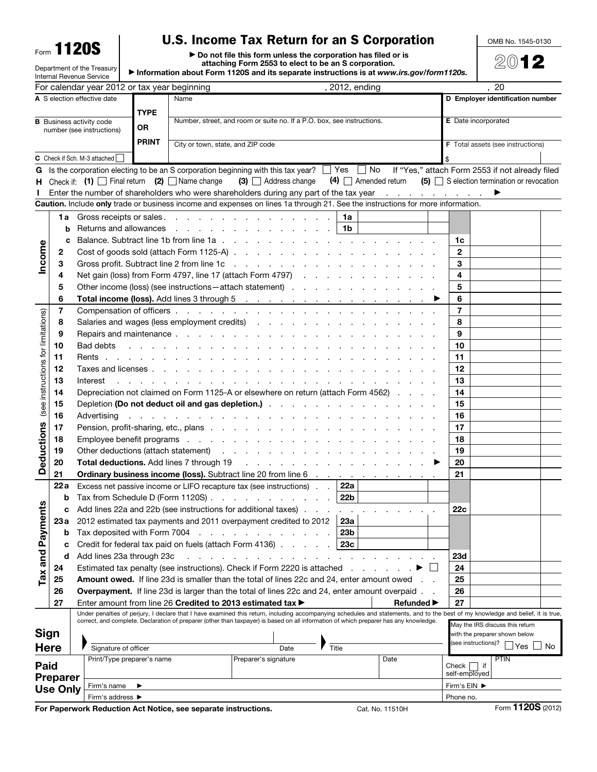Form **1120S** 

Department of the Treasury

## U.S. Income Tax Return for an S Corporation

▶ Do not file this form unless the corporation has filed or is attaching Form 2553 to elect to be an S corporation.

▶ Information about Form 1120S and its separate instructions is at *www.irs.gov/form1120s.*

|                                    |                 | Internal Revenue Service                                                                                                                                                                                                                                         |                                                                                                                                                                                                                                         |                                                                        |                                                                                                                                                                                                                                                |       |                 |                   |                                  |                                          |                                 |                   |  |  |
|------------------------------------|-----------------|------------------------------------------------------------------------------------------------------------------------------------------------------------------------------------------------------------------------------------------------------------------|-----------------------------------------------------------------------------------------------------------------------------------------------------------------------------------------------------------------------------------------|------------------------------------------------------------------------|------------------------------------------------------------------------------------------------------------------------------------------------------------------------------------------------------------------------------------------------|-------|-----------------|-------------------|----------------------------------|------------------------------------------|---------------------------------|-------------------|--|--|
|                                    |                 | For calendar year 2012 or tax year beginning                                                                                                                                                                                                                     |                                                                                                                                                                                                                                         |                                                                        |                                                                                                                                                                                                                                                |       | , 2012, ending  |                   |                                  |                                          | , 20                            |                   |  |  |
| A S election effective date        |                 |                                                                                                                                                                                                                                                                  |                                                                                                                                                                                                                                         | Name                                                                   |                                                                                                                                                                                                                                                |       |                 |                   | D Employer identification number |                                          |                                 |                   |  |  |
|                                    |                 |                                                                                                                                                                                                                                                                  | <b>TYPE</b>                                                                                                                                                                                                                             | Number, street, and room or suite no. If a P.O. box, see instructions. |                                                                                                                                                                                                                                                |       |                 |                   |                                  |                                          | <b>E</b> Date incorporated      |                   |  |  |
|                                    |                 | <b>B</b> Business activity code<br>number (see instructions)                                                                                                                                                                                                     | <b>OR</b>                                                                                                                                                                                                                               |                                                                        |                                                                                                                                                                                                                                                |       |                 |                   |                                  |                                          |                                 |                   |  |  |
| <b>PRINT</b>                       |                 |                                                                                                                                                                                                                                                                  |                                                                                                                                                                                                                                         | City or town, state, and ZIP code                                      |                                                                                                                                                                                                                                                |       |                 |                   |                                  |                                          |                                 |                   |  |  |
|                                    |                 |                                                                                                                                                                                                                                                                  |                                                                                                                                                                                                                                         |                                                                        |                                                                                                                                                                                                                                                |       |                 |                   |                                  | <b>F</b> Total assets (see instructions) |                                 |                   |  |  |
|                                    |                 | C Check if Sch. M-3 attached                                                                                                                                                                                                                                     |                                                                                                                                                                                                                                         |                                                                        |                                                                                                                                                                                                                                                |       |                 |                   |                                  |                                          |                                 |                   |  |  |
| G                                  |                 | Is the corporation electing to be an S corporation beginning with this tax year? □ Yes □ No If "Yes," attach Form 2553 if not already filed<br>Check if: $(1)$ Final return $(2)$ Name change<br>$(4)$ Amended return $(5)$ S election termination or revocation |                                                                                                                                                                                                                                         |                                                                        |                                                                                                                                                                                                                                                |       |                 |                   |                                  |                                          |                                 |                   |  |  |
| н.                                 |                 |                                                                                                                                                                                                                                                                  |                                                                                                                                                                                                                                         |                                                                        | $(3)$ $\Box$ Address change                                                                                                                                                                                                                    |       |                 |                   |                                  |                                          |                                 |                   |  |  |
|                                    |                 |                                                                                                                                                                                                                                                                  |                                                                                                                                                                                                                                         |                                                                        | Enter the number of shareholders who were shareholders during any part of the tax year<br>Caution. Include only trade or business income and expenses on lines 1a through 21. See the instructions for more information.                       |       |                 |                   |                                  |                                          |                                 |                   |  |  |
|                                    |                 |                                                                                                                                                                                                                                                                  |                                                                                                                                                                                                                                         |                                                                        |                                                                                                                                                                                                                                                |       |                 |                   |                                  |                                          |                                 |                   |  |  |
|                                    |                 |                                                                                                                                                                                                                                                                  |                                                                                                                                                                                                                                         |                                                                        | 1a Gross receipts or sales.                                                                                                                                                                                                                    |       | 1a              |                   |                                  |                                          |                                 |                   |  |  |
|                                    | b               |                                                                                                                                                                                                                                                                  |                                                                                                                                                                                                                                         |                                                                        | Returns and allowances                                                                                                                                                                                                                         |       | 1b              |                   |                                  |                                          |                                 |                   |  |  |
|                                    | c               |                                                                                                                                                                                                                                                                  |                                                                                                                                                                                                                                         |                                                                        |                                                                                                                                                                                                                                                |       |                 |                   |                                  | 1c                                       |                                 |                   |  |  |
| Income                             | 2               |                                                                                                                                                                                                                                                                  |                                                                                                                                                                                                                                         |                                                                        |                                                                                                                                                                                                                                                |       |                 |                   |                                  | $\mathbf{2}$                             |                                 |                   |  |  |
|                                    | З               |                                                                                                                                                                                                                                                                  |                                                                                                                                                                                                                                         |                                                                        |                                                                                                                                                                                                                                                |       |                 |                   |                                  | 3                                        |                                 |                   |  |  |
|                                    | 4               |                                                                                                                                                                                                                                                                  |                                                                                                                                                                                                                                         |                                                                        | Net gain (loss) from Form 4797, line 17 (attach Form 4797)                                                                                                                                                                                     |       |                 |                   |                                  | 4                                        |                                 |                   |  |  |
|                                    | 5               |                                                                                                                                                                                                                                                                  |                                                                                                                                                                                                                                         |                                                                        | Other income (loss) (see instructions – attach statement)                                                                                                                                                                                      |       |                 |                   |                                  | 5                                        |                                 |                   |  |  |
|                                    | 6               |                                                                                                                                                                                                                                                                  |                                                                                                                                                                                                                                         |                                                                        |                                                                                                                                                                                                                                                |       |                 |                   |                                  | 6<br>$\overline{7}$                      |                                 |                   |  |  |
|                                    | 7<br>8          |                                                                                                                                                                                                                                                                  |                                                                                                                                                                                                                                         |                                                                        |                                                                                                                                                                                                                                                |       |                 |                   |                                  | 8                                        |                                 |                   |  |  |
|                                    | 9               |                                                                                                                                                                                                                                                                  |                                                                                                                                                                                                                                         |                                                                        |                                                                                                                                                                                                                                                |       |                 |                   |                                  | 9                                        |                                 |                   |  |  |
|                                    | 10              | Bad debts                                                                                                                                                                                                                                                        |                                                                                                                                                                                                                                         |                                                                        | and the contract of the contract of the contract of the contract of the contract of                                                                                                                                                            |       |                 |                   |                                  | 10                                       |                                 |                   |  |  |
|                                    | 11              |                                                                                                                                                                                                                                                                  |                                                                                                                                                                                                                                         |                                                                        |                                                                                                                                                                                                                                                |       |                 |                   |                                  | 11                                       |                                 |                   |  |  |
|                                    | 12              |                                                                                                                                                                                                                                                                  |                                                                                                                                                                                                                                         |                                                                        |                                                                                                                                                                                                                                                |       |                 |                   |                                  | 12                                       |                                 |                   |  |  |
|                                    | 13              | Interest                                                                                                                                                                                                                                                         |                                                                                                                                                                                                                                         |                                                                        |                                                                                                                                                                                                                                                |       |                 |                   |                                  | 13                                       |                                 |                   |  |  |
|                                    | 14              | and a complete that the complete that a complete the complete the complete that the complete the complete the<br>Depreciation not claimed on Form 1125-A or elsewhere on return (attach Form 4562)                                                               |                                                                                                                                                                                                                                         |                                                                        |                                                                                                                                                                                                                                                |       |                 |                   |                                  | 14                                       |                                 |                   |  |  |
| (see instructions for limitations) | 15              |                                                                                                                                                                                                                                                                  |                                                                                                                                                                                                                                         |                                                                        |                                                                                                                                                                                                                                                |       |                 |                   |                                  | 15                                       |                                 |                   |  |  |
|                                    | 16              | والمتعاون والمتعاون والمتعاون والمتعاون والمتعاونة والمتعاونة والمتعاونة والمتعاونة والمتعاونة<br>Advertising                                                                                                                                                    |                                                                                                                                                                                                                                         |                                                                        |                                                                                                                                                                                                                                                |       |                 |                   |                                  | 16                                       |                                 |                   |  |  |
|                                    | 17              |                                                                                                                                                                                                                                                                  |                                                                                                                                                                                                                                         |                                                                        |                                                                                                                                                                                                                                                |       |                 |                   | 17                               |                                          |                                 |                   |  |  |
|                                    | 18              |                                                                                                                                                                                                                                                                  |                                                                                                                                                                                                                                         |                                                                        |                                                                                                                                                                                                                                                |       |                 |                   |                                  | 18                                       |                                 |                   |  |  |
| eductions                          | 19              |                                                                                                                                                                                                                                                                  |                                                                                                                                                                                                                                         |                                                                        |                                                                                                                                                                                                                                                |       |                 |                   | 19                               |                                          |                                 |                   |  |  |
|                                    | 20              |                                                                                                                                                                                                                                                                  | <b>Total deductions.</b> Add lines 7 through 19 (a) and a set of the set of the set of the set of the set of the set of the set of the set of the set of the set of the set of the set of the set of the set of the set of the set<br>▸ |                                                                        |                                                                                                                                                                                                                                                |       |                 |                   |                                  | 20                                       |                                 |                   |  |  |
| Ŏ                                  | 21              | Ordinary business income (loss). Subtract line 20 from line 6 manufacturers and subsets of the state of the state of the state of the state of the state of the state of the state of the state of the state of the state of t                                   |                                                                                                                                                                                                                                         |                                                                        |                                                                                                                                                                                                                                                |       |                 |                   |                                  | 21                                       |                                 |                   |  |  |
|                                    | 22a             |                                                                                                                                                                                                                                                                  |                                                                                                                                                                                                                                         |                                                                        | Excess net passive income or LIFO recapture tax (see instructions) $\therefore$ 22a                                                                                                                                                            |       |                 |                   |                                  |                                          |                                 |                   |  |  |
|                                    | b               |                                                                                                                                                                                                                                                                  |                                                                                                                                                                                                                                         |                                                                        | Tax from Schedule D (Form 1120S)                                                                                                                                                                                                               |       | 22b             |                   |                                  |                                          |                                 |                   |  |  |
| ηfs                                | c.              |                                                                                                                                                                                                                                                                  |                                                                                                                                                                                                                                         |                                                                        | Add lines 22a and 22b (see instructions for additional taxes) $\ldots$ , $\ldots$ , $\ldots$                                                                                                                                                   |       |                 |                   |                                  | 22c                                      |                                 |                   |  |  |
|                                    | 23a             |                                                                                                                                                                                                                                                                  |                                                                                                                                                                                                                                         |                                                                        | 2012 estimated tax payments and 2011 overpayment credited to 2012                                                                                                                                                                              |       | 23a             |                   |                                  |                                          |                                 |                   |  |  |
| Tax and Paymer                     | b               | Tax deposited with Form 7004                                                                                                                                                                                                                                     |                                                                                                                                                                                                                                         |                                                                        | the contract of the contract of                                                                                                                                                                                                                |       | 23 <sub>b</sub> |                   |                                  |                                          |                                 |                   |  |  |
|                                    | c               |                                                                                                                                                                                                                                                                  |                                                                                                                                                                                                                                         |                                                                        | Credit for federal tax paid on fuels (attach Form 4136)                                                                                                                                                                                        |       | 23c             |                   |                                  |                                          |                                 |                   |  |  |
|                                    | d               | Add lines 23a through 23c                                                                                                                                                                                                                                        |                                                                                                                                                                                                                                         |                                                                        |                                                                                                                                                                                                                                                |       |                 |                   |                                  | <b>23d</b>                               |                                 |                   |  |  |
|                                    | 24              |                                                                                                                                                                                                                                                                  |                                                                                                                                                                                                                                         |                                                                        | Estimated tax penalty (see instructions). Check if Form 2220 is attached                                                                                                                                                                       |       |                 |                   |                                  | 24                                       |                                 |                   |  |  |
|                                    | 25              |                                                                                                                                                                                                                                                                  |                                                                                                                                                                                                                                         |                                                                        | Amount owed. If line 23d is smaller than the total of lines 22c and 24, enter amount owed                                                                                                                                                      |       |                 |                   |                                  | 25                                       |                                 |                   |  |  |
|                                    | 26              |                                                                                                                                                                                                                                                                  |                                                                                                                                                                                                                                         |                                                                        | Overpayment. If line 23d is larger than the total of lines 22c and 24, enter amount overpaid.                                                                                                                                                  |       |                 |                   |                                  | 26                                       |                                 |                   |  |  |
|                                    | 27              |                                                                                                                                                                                                                                                                  |                                                                                                                                                                                                                                         |                                                                        | Enter amount from line 26 Credited to 2013 estimated tax ><br>Under penalties of perjury, I declare that I have examined this return, including accompanying schedules and statements, and to the best of my knowledge and belief, it is true, |       |                 | <b>Refunded</b> ▶ |                                  | 27                                       |                                 |                   |  |  |
|                                    |                 |                                                                                                                                                                                                                                                                  |                                                                                                                                                                                                                                         |                                                                        | correct, and complete. Declaration of preparer (other than taxpayer) is based on all information of which preparer has any knowledge.                                                                                                          |       |                 |                   |                                  |                                          | May the IRS discuss this return |                   |  |  |
| <b>Sign</b>                        |                 |                                                                                                                                                                                                                                                                  |                                                                                                                                                                                                                                         |                                                                        |                                                                                                                                                                                                                                                |       |                 |                   |                                  |                                          | with the preparer shown below   |                   |  |  |
|                                    | <b>Here</b>     | Signature of officer                                                                                                                                                                                                                                             |                                                                                                                                                                                                                                         |                                                                        | Date                                                                                                                                                                                                                                           | Title |                 |                   |                                  |                                          | (see instructions)?<br>∐Yes     | _l No             |  |  |
|                                    |                 | Print/Type preparer's name                                                                                                                                                                                                                                       |                                                                                                                                                                                                                                         |                                                                        | Preparer's signature                                                                                                                                                                                                                           |       |                 | Date              |                                  |                                          | <b>PTIN</b>                     |                   |  |  |
| Paid                               |                 |                                                                                                                                                                                                                                                                  |                                                                                                                                                                                                                                         |                                                                        |                                                                                                                                                                                                                                                |       |                 |                   |                                  | Check     if<br>self-employed            |                                 |                   |  |  |
|                                    | <b>Preparer</b> | Firm's name                                                                                                                                                                                                                                                      |                                                                                                                                                                                                                                         |                                                                        |                                                                                                                                                                                                                                                |       |                 |                   |                                  | Firm's EIN ▶                             |                                 |                   |  |  |
|                                    | <b>Use Only</b> | Firm's address ▶                                                                                                                                                                                                                                                 |                                                                                                                                                                                                                                         |                                                                        |                                                                                                                                                                                                                                                |       |                 |                   |                                  | Phone no.                                |                                 |                   |  |  |
|                                    |                 | For Paperwork Reduction Act Notice, see separate instructions.                                                                                                                                                                                                   |                                                                                                                                                                                                                                         |                                                                        |                                                                                                                                                                                                                                                |       |                 | Cat. No. 11510H   |                                  |                                          |                                 | Form 1120S (2012) |  |  |

OMB No. 1545-0130

2012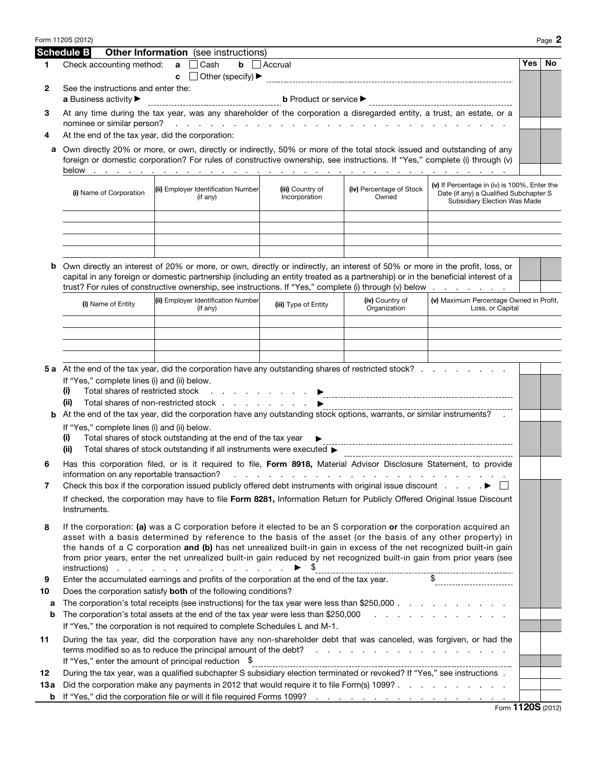|      | Form 1120S (2012)                                                                                                                                                                                                                   |                                                                                                                                                                                                                                                                                                                                                                           |                                                   |                                                                                                                                                                                                                                |                                                                                                                        |     | Page 2 |  |  |  |  |
|------|-------------------------------------------------------------------------------------------------------------------------------------------------------------------------------------------------------------------------------------|---------------------------------------------------------------------------------------------------------------------------------------------------------------------------------------------------------------------------------------------------------------------------------------------------------------------------------------------------------------------------|---------------------------------------------------|--------------------------------------------------------------------------------------------------------------------------------------------------------------------------------------------------------------------------------|------------------------------------------------------------------------------------------------------------------------|-----|--------|--|--|--|--|
|      | <b>Schedule B</b>                                                                                                                                                                                                                   | <b>Other Information</b> (see instructions)                                                                                                                                                                                                                                                                                                                               |                                                   |                                                                                                                                                                                                                                |                                                                                                                        |     |        |  |  |  |  |
| 1    | Check accounting method:                                                                                                                                                                                                            | Cash<br>a                                                                                                                                                                                                                                                                                                                                                                 | $\mathbf b$   Accrual                             |                                                                                                                                                                                                                                |                                                                                                                        | Yes | No.    |  |  |  |  |
|      |                                                                                                                                                                                                                                     | Other (specify) ▶<br>c                                                                                                                                                                                                                                                                                                                                                    |                                                   |                                                                                                                                                                                                                                |                                                                                                                        |     |        |  |  |  |  |
| 2    | See the instructions and enter the:<br>a Business activity ▶                                                                                                                                                                        |                                                                                                                                                                                                                                                                                                                                                                           | <b>b</b> Product or service $\blacktriangleright$ |                                                                                                                                                                                                                                |                                                                                                                        |     |        |  |  |  |  |
|      |                                                                                                                                                                                                                                     |                                                                                                                                                                                                                                                                                                                                                                           |                                                   |                                                                                                                                                                                                                                |                                                                                                                        |     |        |  |  |  |  |
| З    |                                                                                                                                                                                                                                     | At any time during the tax year, was any shareholder of the corporation a disregarded entity, a trust, an estate, or a                                                                                                                                                                                                                                                    |                                                   |                                                                                                                                                                                                                                |                                                                                                                        |     |        |  |  |  |  |
| 4    | At the end of the tax year, did the corporation:                                                                                                                                                                                    |                                                                                                                                                                                                                                                                                                                                                                           |                                                   |                                                                                                                                                                                                                                |                                                                                                                        |     |        |  |  |  |  |
| а    | Own directly 20% or more, or own, directly or indirectly, 50% or more of the total stock issued and outstanding of any                                                                                                              |                                                                                                                                                                                                                                                                                                                                                                           |                                                   |                                                                                                                                                                                                                                |                                                                                                                        |     |        |  |  |  |  |
|      | foreign or domestic corporation? For rules of constructive ownership, see instructions. If "Yes," complete (i) through (v)                                                                                                          |                                                                                                                                                                                                                                                                                                                                                                           |                                                   |                                                                                                                                                                                                                                |                                                                                                                        |     |        |  |  |  |  |
|      |                                                                                                                                                                                                                                     |                                                                                                                                                                                                                                                                                                                                                                           |                                                   |                                                                                                                                                                                                                                |                                                                                                                        |     |        |  |  |  |  |
|      | (i) Name of Corporation                                                                                                                                                                                                             | (ii) Employer Identification Number<br>(if any)                                                                                                                                                                                                                                                                                                                           | (iii) Country of<br>Incorporation                 | (iv) Percentage of Stock<br>Owned                                                                                                                                                                                              | (v) If Percentage in (iv) is 100%, Enter the<br>Date (if any) a Qualified Subchapter S<br>Subsidiary Election Was Made |     |        |  |  |  |  |
|      |                                                                                                                                                                                                                                     |                                                                                                                                                                                                                                                                                                                                                                           |                                                   |                                                                                                                                                                                                                                |                                                                                                                        |     |        |  |  |  |  |
|      |                                                                                                                                                                                                                                     |                                                                                                                                                                                                                                                                                                                                                                           |                                                   |                                                                                                                                                                                                                                |                                                                                                                        |     |        |  |  |  |  |
| b    |                                                                                                                                                                                                                                     | Own directly an interest of 20% or more, or own, directly or indirectly, an interest of 50% or more in the profit, loss, or<br>capital in any foreign or domestic partnership (including an entity treated as a partnership) or in the beneficial interest of a<br>trust? For rules of constructive ownership, see instructions. If "Yes," complete (i) through (v) below |                                                   |                                                                                                                                                                                                                                |                                                                                                                        |     |        |  |  |  |  |
|      | (i) Name of Entity                                                                                                                                                                                                                  | (ii) Employer Identification Number<br>(if any)                                                                                                                                                                                                                                                                                                                           | (iii) Type of Entity                              | (iv) Country of<br>Organization                                                                                                                                                                                                | (v) Maximum Percentage Owned in Profit,<br>Loss, or Capital                                                            |     |        |  |  |  |  |
|      |                                                                                                                                                                                                                                     |                                                                                                                                                                                                                                                                                                                                                                           |                                                   |                                                                                                                                                                                                                                |                                                                                                                        |     |        |  |  |  |  |
|      |                                                                                                                                                                                                                                     |                                                                                                                                                                                                                                                                                                                                                                           |                                                   |                                                                                                                                                                                                                                |                                                                                                                        |     |        |  |  |  |  |
|      |                                                                                                                                                                                                                                     |                                                                                                                                                                                                                                                                                                                                                                           |                                                   |                                                                                                                                                                                                                                |                                                                                                                        |     |        |  |  |  |  |
|      |                                                                                                                                                                                                                                     |                                                                                                                                                                                                                                                                                                                                                                           |                                                   |                                                                                                                                                                                                                                |                                                                                                                        |     |        |  |  |  |  |
|      | 5 a At the end of the tax year, did the corporation have any outstanding shares of restricted stock?<br>If "Yes," complete lines (i) and (ii) below.                                                                                |                                                                                                                                                                                                                                                                                                                                                                           |                                                   |                                                                                                                                                                                                                                |                                                                                                                        |     |        |  |  |  |  |
|      | Total shares of restricted stock<br>(i)<br>the contract of the contract of the                                                                                                                                                      |                                                                                                                                                                                                                                                                                                                                                                           |                                                   |                                                                                                                                                                                                                                |                                                                                                                        |     |        |  |  |  |  |
|      | (ii)<br>Total shares of non-restricted stock                                                                                                                                                                                        |                                                                                                                                                                                                                                                                                                                                                                           |                                                   |                                                                                                                                                                                                                                |                                                                                                                        |     |        |  |  |  |  |
| b    | At the end of the tax year, did the corporation have any outstanding stock options, warrants, or similar instruments? .<br>If "Yes," complete lines (i) and (ii) below.                                                             |                                                                                                                                                                                                                                                                                                                                                                           |                                                   |                                                                                                                                                                                                                                |                                                                                                                        |     |        |  |  |  |  |
|      | Total shares of stock outstanding at the end of the tax year<br>(i)                                                                                                                                                                 |                                                                                                                                                                                                                                                                                                                                                                           |                                                   |                                                                                                                                                                                                                                |                                                                                                                        |     |        |  |  |  |  |
|      | (ii)                                                                                                                                                                                                                                | Total shares of stock outstanding if all instruments were executed >                                                                                                                                                                                                                                                                                                      |                                                   |                                                                                                                                                                                                                                |                                                                                                                        |     |        |  |  |  |  |
| 6    |                                                                                                                                                                                                                                     | Has this corporation filed, or is it required to file, Form 8918, Material Advisor Disclosure Statement, to provide                                                                                                                                                                                                                                                       |                                                   |                                                                                                                                                                                                                                |                                                                                                                        |     |        |  |  |  |  |
|      | information on any reportable transaction?                                                                                                                                                                                          |                                                                                                                                                                                                                                                                                                                                                                           | the contract of the con-                          |                                                                                                                                                                                                                                |                                                                                                                        |     |        |  |  |  |  |
| 7    |                                                                                                                                                                                                                                     | Check this box if the corporation issued publicly offered debt instruments with original issue discount                                                                                                                                                                                                                                                                   |                                                   |                                                                                                                                                                                                                                |                                                                                                                        |     |        |  |  |  |  |
|      | Instruments.                                                                                                                                                                                                                        | If checked, the corporation may have to file Form 8281, Information Return for Publicly Offered Original Issue Discount                                                                                                                                                                                                                                                   |                                                   |                                                                                                                                                                                                                                |                                                                                                                        |     |        |  |  |  |  |
| 8    | If the corporation: (a) was a C corporation before it elected to be an S corporation or the corporation acquired an                                                                                                                 |                                                                                                                                                                                                                                                                                                                                                                           |                                                   |                                                                                                                                                                                                                                |                                                                                                                        |     |        |  |  |  |  |
|      | asset with a basis determined by reference to the basis of the asset (or the basis of any other property) in<br>the hands of a C corporation and (b) has net unrealized built-in gain in excess of the net recognized built-in gain |                                                                                                                                                                                                                                                                                                                                                                           |                                                   |                                                                                                                                                                                                                                |                                                                                                                        |     |        |  |  |  |  |
|      |                                                                                                                                                                                                                                     | from prior years, enter the net unrealized built-in gain reduced by net recognized built-in gain from prior years (see<br>$instructions)$                                                                                                                                                                                                                                 |                                                   |                                                                                                                                                                                                                                |                                                                                                                        |     |        |  |  |  |  |
| 9    |                                                                                                                                                                                                                                     | Enter the accumulated earnings and profits of the corporation at the end of the tax year.                                                                                                                                                                                                                                                                                 |                                                   |                                                                                                                                                                                                                                |                                                                                                                        |     |        |  |  |  |  |
| 10   | Does the corporation satisfy both of the following conditions?                                                                                                                                                                      |                                                                                                                                                                                                                                                                                                                                                                           |                                                   |                                                                                                                                                                                                                                |                                                                                                                        |     |        |  |  |  |  |
| а    | The corporation's total receipts (see instructions) for the tax year were less than \$250,000<br>The corporation's total assets at the end of the tax year were less than \$250,000                                                 |                                                                                                                                                                                                                                                                                                                                                                           |                                                   |                                                                                                                                                                                                                                |                                                                                                                        |     |        |  |  |  |  |
| b    |                                                                                                                                                                                                                                     | If "Yes," the corporation is not required to complete Schedules L and M-1.                                                                                                                                                                                                                                                                                                |                                                   |                                                                                                                                                                                                                                | the contract of the contract of the contract of the contract of the contract of the contract of the contract of        |     |        |  |  |  |  |
| 11   |                                                                                                                                                                                                                                     | During the tax year, did the corporation have any non-shareholder debt that was canceled, was forgiven, or had the<br>terms modified so as to reduce the principal amount of the debt?                                                                                                                                                                                    |                                                   | and the contract of the contract of the contract of the contract of the contract of the contract of the contract of the contract of the contract of the contract of the contract of the contract of the contract of the contra |                                                                                                                        |     |        |  |  |  |  |
|      |                                                                                                                                                                                                                                     | If "Yes," enter the amount of principal reduction \$                                                                                                                                                                                                                                                                                                                      |                                                   |                                                                                                                                                                                                                                |                                                                                                                        |     |        |  |  |  |  |
| 12   |                                                                                                                                                                                                                                     | During the tax year, was a qualified subchapter S subsidiary election terminated or revoked? If "Yes," see instructions .                                                                                                                                                                                                                                                 |                                                   |                                                                                                                                                                                                                                |                                                                                                                        |     |        |  |  |  |  |
| 13 a |                                                                                                                                                                                                                                     | Did the corporation make any payments in 2012 that would require it to file Form(s) 1099?                                                                                                                                                                                                                                                                                 |                                                   |                                                                                                                                                                                                                                |                                                                                                                        |     |        |  |  |  |  |
| b    |                                                                                                                                                                                                                                     |                                                                                                                                                                                                                                                                                                                                                                           |                                                   |                                                                                                                                                                                                                                | $F_{\text{OCD}}$ 1120S (2012)                                                                                          |     |        |  |  |  |  |

Form 1120S (2012)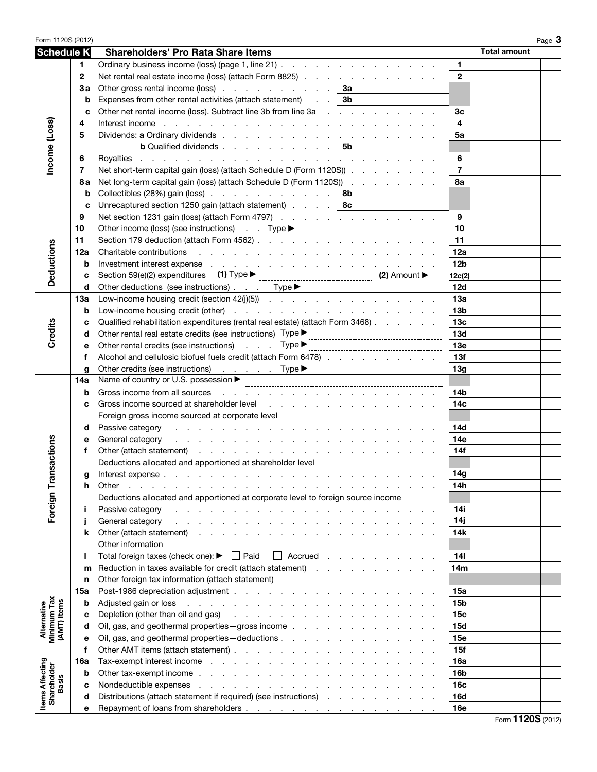| Form 1120S (2012)                         |             |                                                                                                                                                                                                                                                    | Page $3$                      |  |  |
|-------------------------------------------|-------------|----------------------------------------------------------------------------------------------------------------------------------------------------------------------------------------------------------------------------------------------------|-------------------------------|--|--|
| <b>Schedule K</b>                         |             | <b>Shareholders' Pro Rata Share Items</b>                                                                                                                                                                                                          | <b>Total amount</b>           |  |  |
|                                           | 1.          | Ordinary business income (loss) (page 1, line 21)                                                                                                                                                                                                  | $\mathbf{1}$                  |  |  |
|                                           | $\mathbf 2$ | Net rental real estate income (loss) (attach Form 8825)                                                                                                                                                                                            | $\mathbf{2}$                  |  |  |
|                                           | Зa          | Other gross rental income (loss) $\ldots$ $\ldots$ $\ldots$ $\ldots$ $\ldots$ $\mid$ 3a                                                                                                                                                            |                               |  |  |
|                                           | b           | Expenses from other rental activities (attach statement) $\therefore$ $\mathbf{3b}$                                                                                                                                                                |                               |  |  |
|                                           | C           | Other net rental income (loss). Subtract line 3b from line 3a                                                                                                                                                                                      | 3 <sub>c</sub>                |  |  |
|                                           | 4           | Interest income by a contract of the contract of the contract of the contract of the contract of the contract of the contract of the contract of the contract of the contract of the contract of the contract of the contract                      | $\overline{\mathbf{4}}$       |  |  |
|                                           | 5           |                                                                                                                                                                                                                                                    | 5a                            |  |  |
| Income (Loss)                             |             | <b>b</b> Qualified dividends $\ldots$ $\ldots$ $\ldots$ $\ldots$ $\mid$ 5b                                                                                                                                                                         |                               |  |  |
|                                           | 6           |                                                                                                                                                                                                                                                    | 6                             |  |  |
|                                           | 7           | Net short-term capital gain (loss) (attach Schedule D (Form 1120S))                                                                                                                                                                                | $\overline{7}$                |  |  |
|                                           | 8а          | Net long-term capital gain (loss) (attach Schedule D (Form 1120S))                                                                                                                                                                                 | 8a                            |  |  |
|                                           | b           | Collectibles (28%) gain (loss) $\ldots$ $\ldots$ $\ldots$ $\ldots$ $\ldots$ $\ldots$ 8b                                                                                                                                                            |                               |  |  |
|                                           | C           | Unrecaptured section 1250 gain (attach statement) $\ldots$ $\ldots$   8c                                                                                                                                                                           |                               |  |  |
|                                           | 9           | Net section 1231 gain (loss) (attach Form 4797)                                                                                                                                                                                                    | 9                             |  |  |
|                                           | 10          |                                                                                                                                                                                                                                                    | 10                            |  |  |
|                                           | 11          |                                                                                                                                                                                                                                                    | 11                            |  |  |
| <b>Deductions</b>                         | 12a         |                                                                                                                                                                                                                                                    | 12a                           |  |  |
|                                           | b           | Investment interest expense response and contact the contact of the contact of the contact of the contact of the contact of the contact of the contact of the contact of the contact of the contact of the contact of the cont                     | 12 <sub>b</sub>               |  |  |
|                                           | с           |                                                                                                                                                                                                                                                    | 12c(2)                        |  |  |
|                                           | d           | Other deductions (see instructions) Type >                                                                                                                                                                                                         | 12d                           |  |  |
|                                           | 13a         |                                                                                                                                                                                                                                                    | 13a                           |  |  |
|                                           | b           |                                                                                                                                                                                                                                                    | 13 <sub>b</sub>               |  |  |
| Credits                                   | c           | Qualified rehabilitation expenditures (rental real estate) (attach Form 3468)                                                                                                                                                                      | 13 <sub>c</sub>               |  |  |
|                                           | d           |                                                                                                                                                                                                                                                    | 13d                           |  |  |
|                                           | е           | Other rental credits (see instructions) Type measurements are not contained as $\Box$                                                                                                                                                              | <b>13e</b>                    |  |  |
|                                           | f           | Alcohol and cellulosic biofuel fuels credit (attach Form 6478)                                                                                                                                                                                     | 13f                           |  |  |
|                                           | q<br>14a    | Other credits (see instructions) Type ▶<br>Name of country or U.S. possession ▶                                                                                                                                                                    | 13g                           |  |  |
|                                           | b           | Gross income from all sources entering to the contract of the contract of the contract of the contract of the contract of the contract of the contract of the contract of the contract of the contract of the contract of the                      | 14b                           |  |  |
|                                           | c           | Gross income sourced at shareholder level experience of the state of the state of the state of the state of the state of the state of the state of the state of the state of the state of the state of the state of the state                      | 14 <sub>c</sub>               |  |  |
|                                           |             | Foreign gross income sourced at corporate level                                                                                                                                                                                                    |                               |  |  |
|                                           | d           | Passive category<br>the contract of the contract of the contract of the contract of the contract of the contract of the contract of the contract of the contract of the contract of the contract of the contract of the contract of the contract o | <b>14d</b>                    |  |  |
|                                           | е           | General category<br>and the contract of the contract of the contract of the contract of the contract of                                                                                                                                            | 14e                           |  |  |
| sactions                                  | f           |                                                                                                                                                                                                                                                    | 14f                           |  |  |
|                                           |             | Deductions allocated and apportioned at shareholder level                                                                                                                                                                                          |                               |  |  |
|                                           | g           | Interest expense.                                                                                                                                                                                                                                  | 14g                           |  |  |
|                                           | h           | Other<br>the contract of the contract of the contract of the contract of the contract of the contract of the contract of                                                                                                                           | 14h                           |  |  |
|                                           |             | Deductions allocated and apportioned at corporate level to foreign source income                                                                                                                                                                   |                               |  |  |
| Foreign Tran                              | j.          | Passive category<br>والمتحاول والمتحاول والمتحاول والمتحاول والمتحاول والمتحاول والمتحاولة                                                                                                                                                         | 14i                           |  |  |
|                                           | j           | General category                                                                                                                                                                                                                                   | 14j                           |  |  |
|                                           | k           | Other (attach statement)                                                                                                                                                                                                                           | 14k                           |  |  |
|                                           |             | Other information                                                                                                                                                                                                                                  |                               |  |  |
|                                           | ı           | Total foreign taxes (check one): $\blacktriangleright \Box$ Paid<br>$\Box$ Accrued                                                                                                                                                                 | 14 <sub>l</sub>               |  |  |
|                                           | m           | Reduction in taxes available for credit (attach statement)                                                                                                                                                                                         | 14m                           |  |  |
|                                           | n           | Other foreign tax information (attach statement)                                                                                                                                                                                                   |                               |  |  |
|                                           | 15a         |                                                                                                                                                                                                                                                    | 15a                           |  |  |
|                                           | b           | Adjusted gain or loss entering to the contract of the contract of the contract of the contract of the contract of the contract of the contract of the contract of the contract of the contract of the contract of the contract                     | <b>15b</b>                    |  |  |
| Alternative<br>Minimum Tax<br>(AMT) Items | с           | Depletion (other than oil and gas)<br>the contract of the contract of the contract of the contract of<br>Oil, gas, and geothermal properties - gross income                                                                                        | 15 <sub>c</sub><br><b>15d</b> |  |  |
|                                           | d           |                                                                                                                                                                                                                                                    |                               |  |  |
|                                           | е<br>f      |                                                                                                                                                                                                                                                    | 15e<br>15f                    |  |  |
|                                           | 16a         | Tax-exempt interest income enterstance and a series and a series and a series of the series of the series of the series of the series of the series of the series of the series of the series of the series of the series of t                     | 16a                           |  |  |
|                                           | b           |                                                                                                                                                                                                                                                    | 16 <sub>b</sub>               |  |  |
| <b>Basis</b>                              | c           |                                                                                                                                                                                                                                                    | 16c                           |  |  |
|                                           | d           | Distributions (attach statement if required) (see instructions)                                                                                                                                                                                    | 16d                           |  |  |
| <b>Items Affecting</b><br>Shareholder     | е           |                                                                                                                                                                                                                                                    | 16e                           |  |  |
|                                           |             |                                                                                                                                                                                                                                                    |                               |  |  |

Form **1120S** (2012)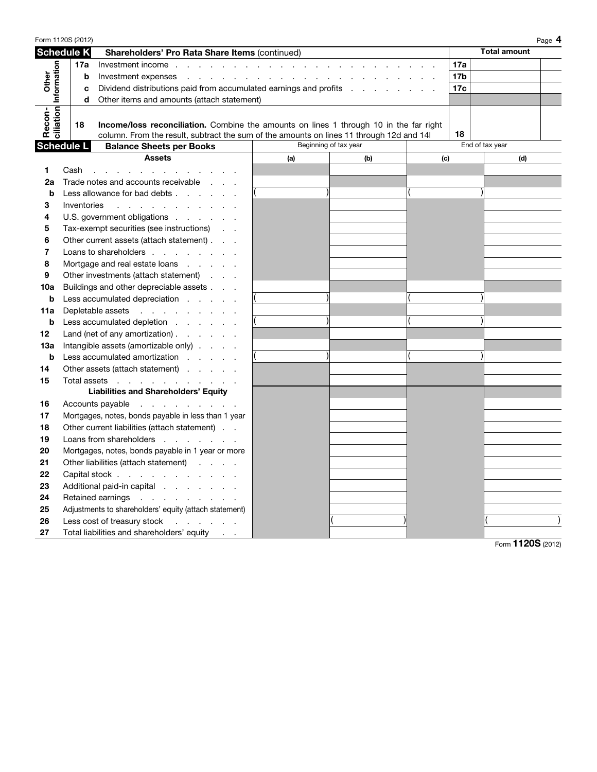| Form 1120S (2012)     |                                                      |             |                                                                                                                                                                                                                                |                       |     |     |                 |                     | Page 4 |
|-----------------------|------------------------------------------------------|-------------|--------------------------------------------------------------------------------------------------------------------------------------------------------------------------------------------------------------------------------|-----------------------|-----|-----|-----------------|---------------------|--------|
| <b>Schedule K</b>     |                                                      |             | Shareholders' Pro Rata Share Items (continued)                                                                                                                                                                                 |                       |     |     |                 | <b>Total amount</b> |        |
|                       |                                                      | 17a         | Investment income reference and contact the contact of the contact of the contact of the contact of the contact of the contact of the contact of the contact of the contact of the contact of the contact of the contact of th |                       |     |     | 17a             |                     |        |
|                       | b                                                    |             |                                                                                                                                                                                                                                |                       |     |     | 17 <sub>b</sub> |                     |        |
| Other                 |                                                      | c           | Dividend distributions paid from accumulated earnings and profits                                                                                                                                                              |                       |     |     | 17c             |                     |        |
|                       | Other items and amounts (attach statement)<br>d      |             |                                                                                                                                                                                                                                |                       |     |     |                 |                     |        |
| ciliation Information |                                                      |             |                                                                                                                                                                                                                                |                       |     |     |                 |                     |        |
| Recon-                |                                                      | 18          | Income/loss reconciliation. Combine the amounts on lines 1 through 10 in the far right                                                                                                                                         |                       |     |     |                 |                     |        |
|                       |                                                      |             | column. From the result, subtract the sum of the amounts on lines 11 through 12d and 14l                                                                                                                                       |                       |     |     | 18              |                     |        |
|                       | <b>Schedule L</b><br><b>Balance Sheets per Books</b> |             |                                                                                                                                                                                                                                | Beginning of tax year |     |     |                 | End of tax year     |        |
|                       |                                                      |             | <b>Assets</b>                                                                                                                                                                                                                  | (a)                   | (b) | (c) |                 | (d)                 |        |
| 1                     | Cash                                                 |             | and the company of the company of the company of the company of the company of the company of the company of the company of the company of the company of the company of the company of the company of the company of the comp |                       |     |     |                 |                     |        |
| 2a                    |                                                      |             | Trade notes and accounts receivable                                                                                                                                                                                            |                       |     |     |                 |                     |        |
| b                     |                                                      |             | Less allowance for bad debts                                                                                                                                                                                                   |                       |     |     |                 |                     |        |
| 3                     |                                                      | Inventories | the contract of the contract of the con-                                                                                                                                                                                       |                       |     |     |                 |                     |        |
| 4                     |                                                      |             | U.S. government obligations                                                                                                                                                                                                    |                       |     |     |                 |                     |        |
| 5                     |                                                      |             | Tax-exempt securities (see instructions)                                                                                                                                                                                       |                       |     |     |                 |                     |        |
| 6                     |                                                      |             | Other current assets (attach statement)                                                                                                                                                                                        |                       |     |     |                 |                     |        |
| 7                     | Loans to shareholders                                |             |                                                                                                                                                                                                                                |                       |     |     |                 |                     |        |
| 8                     | Mortgage and real estate loans                       |             |                                                                                                                                                                                                                                |                       |     |     |                 |                     |        |
| 9                     |                                                      |             | Other investments (attach statement)                                                                                                                                                                                           |                       |     |     |                 |                     |        |
| 10a                   | Buildings and other depreciable assets               |             |                                                                                                                                                                                                                                |                       |     |     |                 |                     |        |
| b                     | Less accumulated depreciation                        |             |                                                                                                                                                                                                                                |                       |     |     |                 |                     |        |
| 11a                   |                                                      |             | Depletable assets                                                                                                                                                                                                              |                       |     |     |                 |                     |        |
| b                     |                                                      |             | Less accumulated depletion                                                                                                                                                                                                     |                       |     |     |                 |                     |        |
| 12                    |                                                      |             | Land (net of any amortization) $\ldots$ $\ldots$                                                                                                                                                                               |                       |     |     |                 |                     |        |
| 13а                   |                                                      |             | Intangible assets (amortizable only)                                                                                                                                                                                           |                       |     |     |                 |                     |        |
| b                     |                                                      |             | Less accumulated amortization                                                                                                                                                                                                  |                       |     |     |                 |                     |        |
| 14                    |                                                      |             | Other assets (attach statement)                                                                                                                                                                                                |                       |     |     |                 |                     |        |
| 15                    |                                                      |             | Total assets                                                                                                                                                                                                                   |                       |     |     |                 |                     |        |
|                       |                                                      |             | <b>Liabilities and Shareholders' Equity</b>                                                                                                                                                                                    |                       |     |     |                 |                     |        |
| 16                    |                                                      |             | Accounts payable                                                                                                                                                                                                               |                       |     |     |                 |                     |        |
| 17                    |                                                      |             | Mortgages, notes, bonds payable in less than 1 year                                                                                                                                                                            |                       |     |     |                 |                     |        |
| 18                    |                                                      |             | Other current liabilities (attach statement)                                                                                                                                                                                   |                       |     |     |                 |                     |        |
| 19                    | Loans from shareholders                              |             |                                                                                                                                                                                                                                |                       |     |     |                 |                     |        |
| 20                    | Mortgages, notes, bonds payable in 1 year or more    |             |                                                                                                                                                                                                                                |                       |     |     |                 |                     |        |
| 21                    | Other liabilities (attach statement)                 |             |                                                                                                                                                                                                                                |                       |     |     |                 |                     |        |
| 22                    |                                                      |             | Capital stock                                                                                                                                                                                                                  |                       |     |     |                 |                     |        |
| 23                    |                                                      |             | Additional paid-in capital                                                                                                                                                                                                     |                       |     |     |                 |                     |        |
| 24                    |                                                      |             | Retained earnings                                                                                                                                                                                                              |                       |     |     |                 |                     |        |
| 25                    |                                                      |             | Adjustments to shareholders' equity (attach statement)                                                                                                                                                                         |                       |     |     |                 |                     |        |
| 26                    |                                                      |             | Less cost of treasury stock<br>and the contract of the con-                                                                                                                                                                    |                       |     |     |                 |                     |        |
| 27                    |                                                      |             | Total liabilities and shareholders' equity                                                                                                                                                                                     |                       |     |     |                 |                     |        |